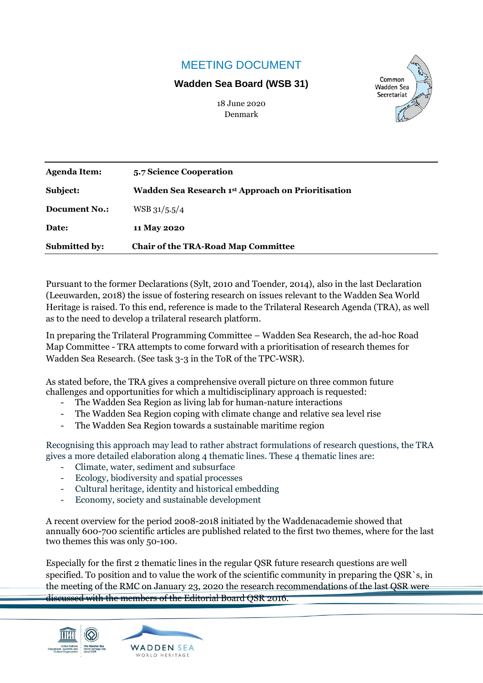# MEETING DOCUMENT

## **Wadden Sea Board (WSB 31)**



18 June 2020 Denmark

| <b>Agenda Item:</b>  | 5.7 Science Cooperation                            |
|----------------------|----------------------------------------------------|
| Subject:             | Wadden Sea Research 1st Approach on Prioritisation |
| <b>Document No.:</b> | $WSB$ 31/5.5/4                                     |
| Date:                | 11 May 2020                                        |
| Submitted by:        | <b>Chair of the TRA-Road Map Committee</b>         |

Pursuant to the former Declarations (Sylt, 2010 and Toender, 2014), also in the last Declaration (Leeuwarden, 2018) the issue of fostering research on issues relevant to the Wadden Sea World Heritage is raised. To this end, reference is made to the Trilateral Research Agenda (TRA), as well as to the need to develop a trilateral research platform.

In preparing the Trilateral Programming Committee – Wadden Sea Research, the ad-hoc Road Map Committee - TRA attempts to come forward with a prioritisation of research themes for Wadden Sea Research. (See task 3-3 in the ToR of the TPC-WSR).

As stated before, the TRA gives a comprehensive overall picture on three common future challenges and opportunities for which a multidisciplinary approach is requested:

- The Wadden Sea Region as living lab for human-nature interactions
- The Wadden Sea Region coping with climate change and relative sea level rise
- The Wadden Sea Region towards a sustainable maritime region

Recognising this approach may lead to rather abstract formulations of research questions, the TRA gives a more detailed elaboration along 4 thematic lines. These 4 thematic lines are:

- Climate, water, sediment and subsurface
- Ecology, biodiversity and spatial processes
- Cultural heritage, identity and historical embedding
- Economy, society and sustainable development

A recent overview for the period 2008-2018 initiated by the Waddenacademie showed that annually 600-700 scientific articles are published related to the first two themes, where for the last two themes this was only 50-100.

Especially for the first 2 thematic lines in the regular QSR future research questions are well specified. To position and to value the work of the scientific community in preparing the QSR`s, in the meeting of the RMC on January 23, 2020 the research recommendations of the last QSR were discussed with the members of the Editorial Board QSR 2016.



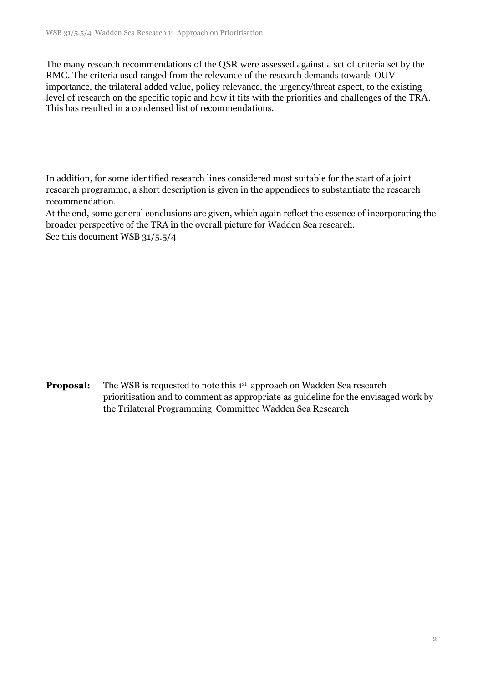The many research recommendations of the QSR were assessed against a set of criteria set by the RMC. The criteria used ranged from the relevance of the research demands towards OUV importance, the trilateral added value, policy relevance, the urgency/threat aspect, to the existing level of research on the specific topic and how it fits with the priorities and challenges of the TRA. This has resulted in a condensed list of recommendations.

In addition, for some identified research lines considered most suitable for the start of a joint research programme, a short description is given in the appendices to substantiate the research recommendation.

At the end, some general conclusions are given, which again reflect the essence of incorporating the broader perspective of the TRA in the overall picture for Wadden Sea research. See this document WSB 31/5.5/4

**Proposal:** The WSB is requested to note this 1<sup>st</sup> approach on Wadden Sea research prioritisation and to comment as appropriate as guideline for the envisaged work by the Trilateral Programming Committee Wadden Sea Research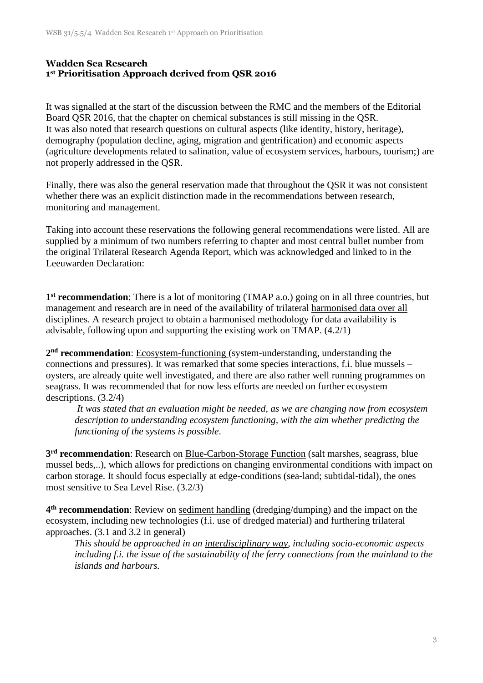## **Wadden Sea Research 1 st Prioritisation Approach derived from QSR 2016**

It was signalled at the start of the discussion between the RMC and the members of the Editorial Board QSR 2016, that the chapter on chemical substances is still missing in the QSR. It was also noted that research questions on cultural aspects (like identity, history, heritage), demography (population decline, aging, migration and gentrification) and economic aspects (agriculture developments related to salination, value of ecosystem services, harbours, tourism;) are not properly addressed in the QSR.

Finally, there was also the general reservation made that throughout the QSR it was not consistent whether there was an explicit distinction made in the recommendations between research, monitoring and management.

Taking into account these reservations the following general recommendations were listed. All are supplied by a minimum of two numbers referring to chapter and most central bullet number from the original Trilateral Research Agenda Report, which was acknowledged and linked to in the Leeuwarden Declaration:

**1 st recommendation**: There is a lot of monitoring (TMAP a.o.) going on in all three countries, but management and research are in need of the availability of trilateral harmonised data over all disciplines. A research project to obtain a harmonised methodology for data availability is advisable, following upon and supporting the existing work on TMAP. (4.2/1)

**2 nd recommendation**: Ecosystem-functioning (system-understanding, understanding the connections and pressures). It was remarked that some species interactions, f.i. blue mussels – oysters, are already quite well investigated, and there are also rather well running programmes on seagrass. It was recommended that for now less efforts are needed on further ecosystem descriptions. (3.2/4)

*It was stated that an evaluation might be needed, as we are changing now from ecosystem description to understanding ecosystem functioning, with the aim whether predicting the functioning of the systems is possible*.

**3 rd recommendation**: Research on Blue-Carbon-Storage Function (salt marshes, seagrass, blue mussel beds,..), which allows for predictions on changing environmental conditions with impact on carbon storage. It should focus especially at edge-conditions (sea-land; subtidal-tidal), the ones most sensitive to Sea Level Rise. (3.2/3)

**4 th recommendation**: Review on sediment handling (dredging/dumping) and the impact on the ecosystem, including new technologies (f.i. use of dredged material) and furthering trilateral approaches. (3.1 and 3.2 in general)

*This should be approached in an interdisciplinary way, including socio-economic aspects including f.i. the issue of the sustainability of the ferry connections from the mainland to the islands and harbours.*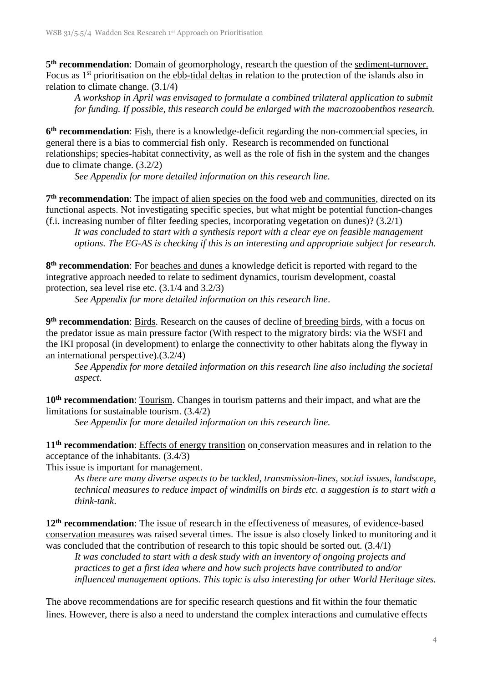5<sup>th</sup> **recommendation**: Domain of geomorphology, research the question of the <u>sediment-turnover.</u> Focus as 1<sup>st</sup> prioritisation on the ebb-tidal deltas in relation to the protection of the islands also in relation to climate change. (3.1/4)

*A workshop in April was envisaged to formulate a combined trilateral application to submit for funding. If possible, this research could be enlarged with the macrozoobenthos research.*

**6 th recommendation**: Fish, there is a knowledge-deficit regarding the non-commercial species, in general there is a bias to commercial fish only. Research is recommended on functional relationships; species-habitat connectivity, as well as the role of fish in the system and the changes due to climate change. (3.2/2)

*See Appendix for more detailed information on this research line.*

7<sup>th</sup> **recommendation**: The <u>impact of alien species on the food web and communities</u>, directed on its functional aspects. Not investigating specific species, but what might be potential function-changes (f.i. increasing number of filter feeding species, incorporating vegetation on dunes)? (3.2/1)

*It was concluded to start with a synthesis report with a clear eye on feasible management options. The EG-AS is checking if this is an interesting and appropriate subject for research.*

**8 th recommendation**: For beaches and dunes a knowledge deficit is reported with regard to the integrative approach needed to relate to sediment dynamics, tourism development, coastal protection, sea level rise etc. (3.1/4 and 3.2/3)

*See Appendix for more detailed information on this research line*.

9<sup>th</sup> **recommendation**: <u>Birds</u>. Research on the causes of decline of **breeding birds**, with a focus on the predator issue as main pressure factor (With respect to the migratory birds: via the WSFI and the IKI proposal (in development) to enlarge the connectivity to other habitats along the flyway in an international perspective).(3.2/4)

*See Appendix for more detailed information on this research line also including the societal aspect*.

**10th recommendation**: Tourism. Changes in tourism patterns and their impact, and what are the limitations for sustainable tourism. (3.4/2)

*See Appendix for more detailed information on this research line.* 

**11th recommendation**: Effects of energy transition on conservation measures and in relation to the acceptance of the inhabitants. (3.4/3)

This issue is important for management.

*As there are many diverse aspects to be tackled, transmission-lines, social issues, landscape, technical measures to reduce impact of windmills on birds etc. a suggestion is to start with a think-tank*.

12<sup>th</sup> **recommendation**: The issue of research in the effectiveness of measures, of evidence-based conservation measures was raised several times. The issue is also closely linked to monitoring and it was concluded that the contribution of research to this topic should be sorted out.  $(3.4/1)$ 

*It was concluded to start with a desk study with an inventory of ongoing projects and practices to get a first idea where and how such projects have contributed to and/or influenced management options. This topic is also interesting for other World Heritage sites.* 

The above recommendations are for specific research questions and fit within the four thematic lines. However, there is also a need to understand the complex interactions and cumulative effects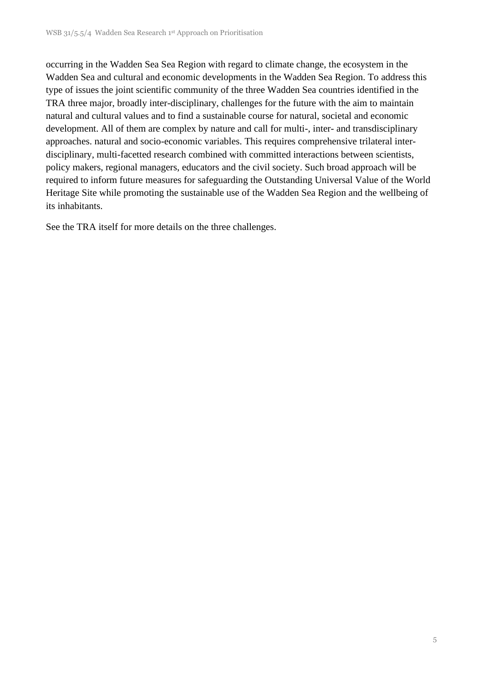occurring in the Wadden Sea Sea Region with regard to climate change, the ecosystem in the Wadden Sea and cultural and economic developments in the Wadden Sea Region. To address this type of issues the joint scientific community of the three Wadden Sea countries identified in the TRA three major, broadly inter-disciplinary, challenges for the future with the aim to maintain natural and cultural values and to find a sustainable course for natural, societal and economic development. All of them are complex by nature and call for multi-, inter- and transdisciplinary approaches. natural and socio-economic variables. This requires comprehensive trilateral interdisciplinary, multi-facetted research combined with committed interactions between scientists, policy makers, regional managers, educators and the civil society. Such broad approach will be required to inform future measures for safeguarding the Outstanding Universal Value of the World Heritage Site while promoting the sustainable use of the Wadden Sea Region and the wellbeing of its inhabitants.

See the TRA itself for more details on the three challenges.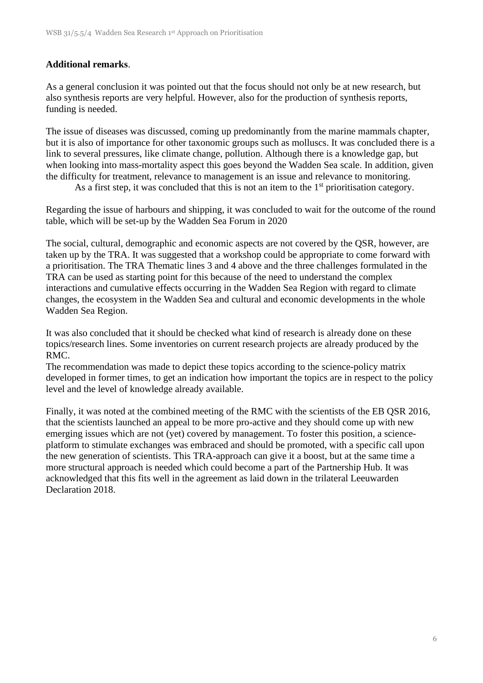## **Additional remarks**.

As a general conclusion it was pointed out that the focus should not only be at new research, but also synthesis reports are very helpful. However, also for the production of synthesis reports, funding is needed.

The issue of diseases was discussed, coming up predominantly from the marine mammals chapter, but it is also of importance for other taxonomic groups such as molluscs. It was concluded there is a link to several pressures, like climate change, pollution. Although there is a knowledge gap, but when looking into mass-mortality aspect this goes beyond the Wadden Sea scale. In addition, given the difficulty for treatment, relevance to management is an issue and relevance to monitoring.

As a first step, it was concluded that this is not an item to the  $1<sup>st</sup>$  prioritisation category.

Regarding the issue of harbours and shipping, it was concluded to wait for the outcome of the round table, which will be set-up by the Wadden Sea Forum in 2020

The social, cultural, demographic and economic aspects are not covered by the QSR, however, are taken up by the TRA. It was suggested that a workshop could be appropriate to come forward with a prioritisation. The TRA Thematic lines 3 and 4 above and the three challenges formulated in the TRA can be used as starting point for this because of the need to understand the complex interactions and cumulative effects occurring in the Wadden Sea Region with regard to climate changes, the ecosystem in the Wadden Sea and cultural and economic developments in the whole Wadden Sea Region.

It was also concluded that it should be checked what kind of research is already done on these topics/research lines. Some inventories on current research projects are already produced by the RMC.

The recommendation was made to depict these topics according to the science-policy matrix developed in former times, to get an indication how important the topics are in respect to the policy level and the level of knowledge already available.

Finally, it was noted at the combined meeting of the RMC with the scientists of the EB QSR 2016, that the scientists launched an appeal to be more pro-active and they should come up with new emerging issues which are not (yet) covered by management. To foster this position, a scienceplatform to stimulate exchanges was embraced and should be promoted, with a specific call upon the new generation of scientists. This TRA-approach can give it a boost, but at the same time a more structural approach is needed which could become a part of the Partnership Hub. It was acknowledged that this fits well in the agreement as laid down in the trilateral Leeuwarden Declaration 2018.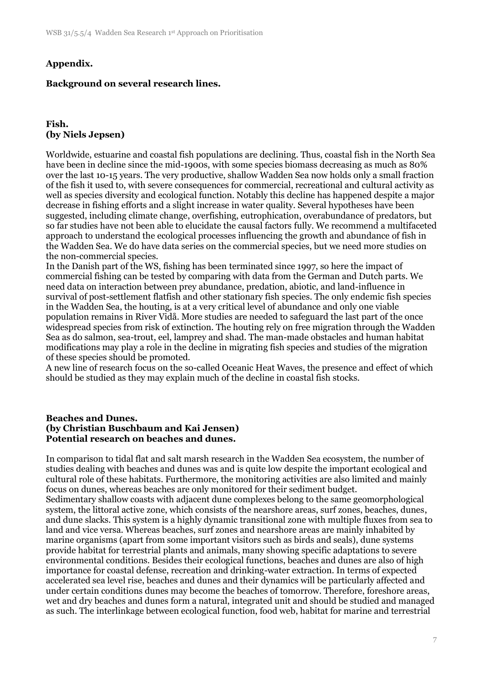#### **Appendix.**

#### **Background on several research lines.**

#### **Fish. (by Niels Jepsen)**

Worldwide, estuarine and coastal fish populations are declining. Thus, coastal fish in the North Sea have been in decline since the mid-1900s, with some species biomass decreasing as much as 80% over the last 10-15 years. The very productive, shallow Wadden Sea now holds only a small fraction of the fish it used to, with severe consequences for commercial, recreational and cultural activity as well as species diversity and ecological function. Notably this decline has happened despite a major decrease in fishing efforts and a slight increase in water quality. Several hypotheses have been suggested, including climate change, overfishing, eutrophication, overabundance of predators, but so far studies have not been able to elucidate the causal factors fully. We recommend a multifaceted approach to understand the ecological processes influencing the growth and abundance of fish in the Wadden Sea. We do have data series on the commercial species, but we need more studies on the non-commercial species.

In the Danish part of the WS, fishing has been terminated since 1997, so here the impact of commercial fishing can be tested by comparing with data from the German and Dutch parts. We need data on interaction between prey abundance, predation, abiotic, and land-influence in survival of post-settlement flatfish and other stationary fish species. The only endemic fish species in the Wadden Sea, the houting, is at a very critical level of abundance and only one viable population remains in River Vidå. More studies are needed to safeguard the last part of the once widespread species from risk of extinction. The houting rely on free migration through the Wadden Sea as do salmon, sea-trout, eel, lamprey and shad. The man-made obstacles and human habitat modifications may play a role in the decline in migrating fish species and studies of the migration of these species should be promoted.

A new line of research focus on the so-called Oceanic Heat Waves, the presence and effect of which should be studied as they may explain much of the decline in coastal fish stocks.

#### **Beaches and Dunes. (by Christian Buschbaum and Kai Jensen) Potential research on beaches and dunes.**

In comparison to tidal flat and salt marsh research in the Wadden Sea ecosystem, the number of studies dealing with beaches and dunes was and is quite low despite the important ecological and cultural role of these habitats. Furthermore, the monitoring activities are also limited and mainly focus on dunes, whereas beaches are only monitored for their sediment budget. Sedimentary shallow coasts with adjacent dune complexes belong to the same geomorphological system, the littoral active zone, which consists of the nearshore areas, surf zones, beaches, dunes, and dune slacks. This system is a highly dynamic transitional zone with multiple fluxes from sea to land and vice versa. Whereas beaches, surf zones and nearshore areas are mainly inhabited by marine organisms (apart from some important visitors such as birds and seals), dune systems provide habitat for terrestrial plants and animals, many showing specific adaptations to severe environmental conditions. Besides their ecological functions, beaches and dunes are also of high importance for coastal defense, recreation and drinking-water extraction. In terms of expected accelerated sea level rise, beaches and dunes and their dynamics will be particularly affected and under certain conditions dunes may become the beaches of tomorrow. Therefore, foreshore areas, wet and dry beaches and dunes form a natural, integrated unit and should be studied and managed as such. The interlinkage between ecological function, food web, habitat for marine and terrestrial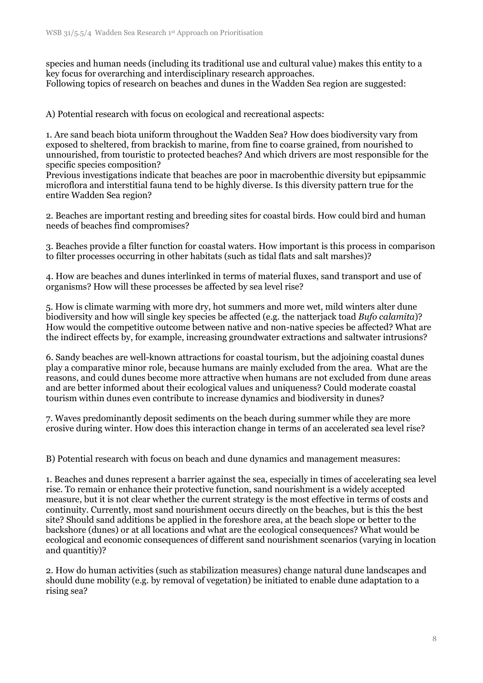species and human needs (including its traditional use and cultural value) makes this entity to a key focus for overarching and interdisciplinary research approaches. Following topics of research on beaches and dunes in the Wadden Sea region are suggested:

A) Potential research with focus on ecological and recreational aspects:

1. Are sand beach biota uniform throughout the Wadden Sea? How does biodiversity vary from exposed to sheltered, from brackish to marine, from fine to coarse grained, from nourished to unnourished, from touristic to protected beaches? And which drivers are most responsible for the specific species composition?

Previous investigations indicate that beaches are poor in macrobenthic diversity but epipsammic microflora and interstitial fauna tend to be highly diverse. Is this diversity pattern true for the entire Wadden Sea region?

2. Beaches are important resting and breeding sites for coastal birds. How could bird and human needs of beaches find compromises?

3. Beaches provide a filter function for coastal waters. How important is this process in comparison to filter processes occurring in other habitats (such as tidal flats and salt marshes)?

4. How are beaches and dunes interlinked in terms of material fluxes, sand transport and use of organisms? How will these processes be affected by sea level rise?

5. How is climate warming with more dry, hot summers and more wet, mild winters alter dune biodiversity and how will single key species be affected (e.g. the natterjack toad *Bufo calamita*)? How would the competitive outcome between native and non-native species be affected? What are the indirect effects by, for example, increasing groundwater extractions and saltwater intrusions?

6. Sandy beaches are well-known attractions for coastal tourism, but the adjoining coastal dunes play a comparative minor role, because humans are mainly excluded from the area. What are the reasons, and could dunes become more attractive when humans are not excluded from dune areas and are better informed about their ecological values and uniqueness? Could moderate coastal tourism within dunes even contribute to increase dynamics and biodiversity in dunes?

7. Waves predominantly deposit sediments on the beach during summer while they are more erosive during winter. How does this interaction change in terms of an accelerated sea level rise?

B) Potential research with focus on beach and dune dynamics and management measures:

1. Beaches and dunes represent a barrier against the sea, especially in times of accelerating sea level rise. To remain or enhance their protective function, sand nourishment is a widely accepted measure, but it is not clear whether the current strategy is the most effective in terms of costs and continuity. Currently, most sand nourishment occurs directly on the beaches, but is this the best site? Should sand additions be applied in the foreshore area, at the beach slope or better to the backshore (dunes) or at all locations and what are the ecological consequences? What would be ecological and economic consequences of different sand nourishment scenarios (varying in location and quantitiy)?

2. How do human activities (such as stabilization measures) change natural dune landscapes and should dune mobility (e.g. by removal of vegetation) be initiated to enable dune adaptation to a rising sea?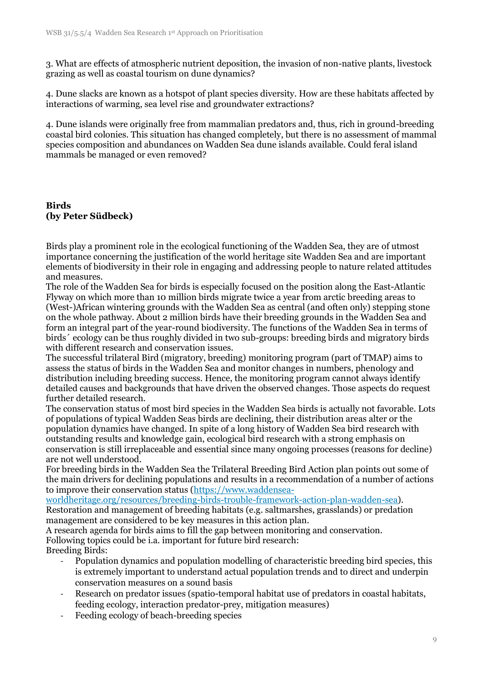3. What are effects of atmospheric nutrient deposition, the invasion of non-native plants, livestock grazing as well as coastal tourism on dune dynamics?

4. Dune slacks are known as a hotspot of plant species diversity. How are these habitats affected by interactions of warming, sea level rise and groundwater extractions?

4. Dune islands were originally free from mammalian predators and, thus, rich in ground-breeding coastal bird colonies. This situation has changed completely, but there is no assessment of mammal species composition and abundances on Wadden Sea dune islands available. Could feral island mammals be managed or even removed?

#### **Birds (by Peter Südbeck)**

Birds play a prominent role in the ecological functioning of the Wadden Sea, they are of utmost importance concerning the justification of the world heritage site Wadden Sea and are important elements of biodiversity in their role in engaging and addressing people to nature related attitudes and measures.

The role of the Wadden Sea for birds is especially focused on the position along the East-Atlantic Flyway on which more than 10 million birds migrate twice a year from arctic breeding areas to (West-)African wintering grounds with the Wadden Sea as central (and often only) stepping stone on the whole pathway. About 2 million birds have their breeding grounds in the Wadden Sea and form an integral part of the year-round biodiversity. The functions of the Wadden Sea in terms of birds´ ecology can be thus roughly divided in two sub-groups: breeding birds and migratory birds with different research and conservation issues.

The successful trilateral Bird (migratory, breeding) monitoring program (part of TMAP) aims to assess the status of birds in the Wadden Sea and monitor changes in numbers, phenology and distribution including breeding success. Hence, the monitoring program cannot always identify detailed causes and backgrounds that have driven the observed changes. Those aspects do request further detailed research.

The conservation status of most bird species in the Wadden Sea birds is actually not favorable. Lots of populations of typical Wadden Seas birds are declining, their distribution areas alter or the population dynamics have changed. In spite of a long history of Wadden Sea bird research with outstanding results and knowledge gain, ecological bird research with a strong emphasis on conservation is still irreplaceable and essential since many ongoing processes (reasons for decline) are not well understood.

For breeding birds in the Wadden Sea the Trilateral Breeding Bird Action plan points out some of the main drivers for declining populations and results in a recommendation of a number of actions to improve their conservation status [\(https://www.waddensea-](https://www.waddensea-worldheritage.org/resources/breeding-birds-trouble-framework-action-plan-wadden-sea)

[worldheritage.org/resources/breeding-birds-trouble-framework-action-plan-wadden-sea\)](https://www.waddensea-worldheritage.org/resources/breeding-birds-trouble-framework-action-plan-wadden-sea). Restoration and management of breeding habitats (e.g. saltmarshes, grasslands) or predation

management are considered to be key measures in this action plan.

A research agenda for birds aims to fill the gap between monitoring and conservation. Following topics could be i.a. important for future bird research: Breeding Birds:

- Population dynamics and population modelling of characteristic breeding bird species, this is extremely important to understand actual population trends and to direct and underpin conservation measures on a sound basis
	- Research on predator issues (spatio-temporal habitat use of predators in coastal habitats, feeding ecology, interaction predator-prey, mitigation measures)
	- Feeding ecology of beach-breeding species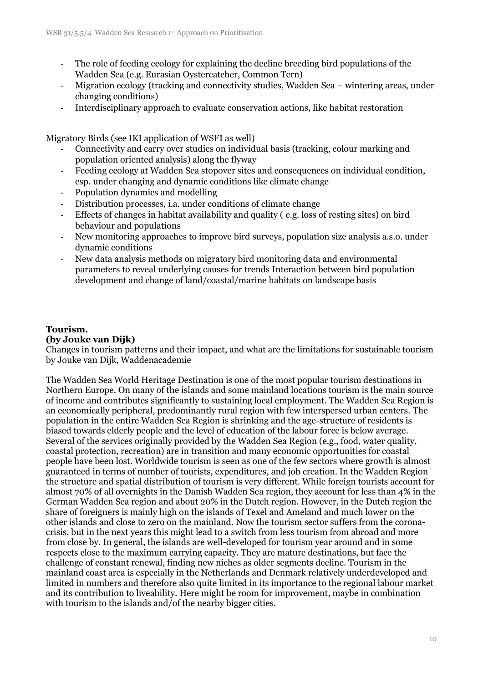- The role of feeding ecology for explaining the decline breeding bird populations of the Wadden Sea (e.g. Eurasian Oystercatcher, Common Tern)
- Migration ecology (tracking and connectivity studies, Wadden Sea wintering areas, under changing conditions)
- Interdisciplinary approach to evaluate conservation actions, like habitat restoration

Migratory Birds (see IKI application of WSFI as well)

- Connectivity and carry over studies on individual basis (tracking, colour marking and population oriented analysis) along the flyway
- Feeding ecology at Wadden Sea stopover sites and consequences on individual condition, esp. under changing and dynamic conditions like climate change
- Population dynamics and modelling
- Distribution processes, i.a. under conditions of climate change
- Effects of changes in habitat availability and quality ( e.g. loss of resting sites) on bird behaviour and populations
- New monitoring approaches to improve bird surveys, population size analysis a.s.o. under dynamic conditions
- New data analysis methods on migratory bird monitoring data and environmental parameters to reveal underlying causes for trends Interaction between bird population development and change of land/coastal/marine habitats on landscape basis

#### **Tourism.**

#### **(by Jouke van Dijk)**

Changes in tourism patterns and their impact, and what are the limitations for sustainable tourism by Jouke van Dijk, Waddenacademie

The Wadden Sea World Heritage Destination is one of the most popular tourism destinations in Northern Europe. On many of the islands and some mainland locations tourism is the main source of income and contributes significantly to sustaining local employment. The Wadden Sea Region is an economically peripheral, predominantly rural region with few interspersed urban centers. The population in the entire Wadden Sea Region is shrinking and the age-structure of residents is biased towards elderly people and the level of education of the labour force is below average. Several of the services originally provided by the Wadden Sea Region (e.g., food, water quality, coastal protection, recreation) are in transition and many economic opportunities for coastal people have been lost. Worldwide tourism is seen as one of the few sectors where growth is almost guaranteed in terms of number of tourists, expenditures, and job creation. In the Wadden Region the structure and spatial distribution of tourism is very different. While foreign tourists account for almost 70% of all overnights in the Danish Wadden Sea region, they account for less than 4% in the German Wadden Sea region and about 20% in the Dutch region. However, in the Dutch region the share of foreigners is mainly high on the islands of Texel and Ameland and much lower on the other islands and close to zero on the mainland. Now the tourism sector suffers from the coronacrisis, but in the next years this might lead to a switch from less tourism from abroad and more from close by. In general, the islands are well-developed for tourism year around and in some respects close to the maximum carrying capacity. They are mature destinations, but face the challenge of constant renewal, finding new niches as older segments decline. Tourism in the mainland coast area is especially in the Netherlands and Denmark relatively underdeveloped and limited in numbers and therefore also quite limited in its importance to the regional labour market and its contribution to liveability. Here might be room for improvement, maybe in combination with tourism to the islands and/of the nearby bigger cities.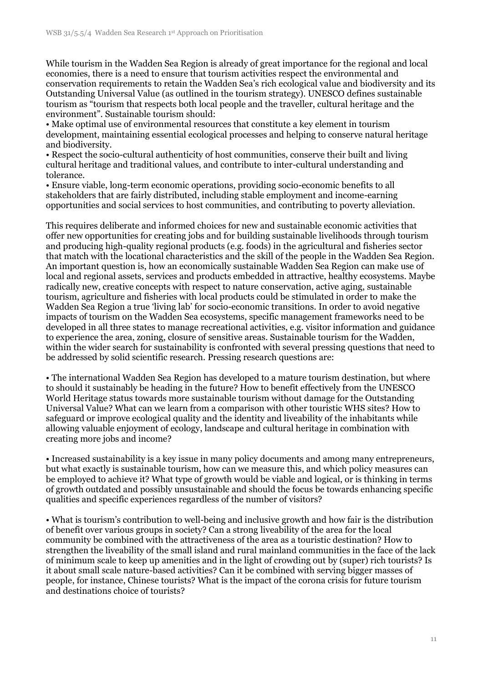While tourism in the Wadden Sea Region is already of great importance for the regional and local economies, there is a need to ensure that tourism activities respect the environmental and conservation requirements to retain the Wadden Sea's rich ecological value and biodiversity and its Outstanding Universal Value (as outlined in the tourism strategy). UNESCO defines sustainable tourism as "tourism that respects both local people and the traveller, cultural heritage and the environment". Sustainable tourism should:

• Make optimal use of environmental resources that constitute a key element in tourism development, maintaining essential ecological processes and helping to conserve natural heritage and biodiversity.

• Respect the socio-cultural authenticity of host communities, conserve their built and living cultural heritage and traditional values, and contribute to inter-cultural understanding and tolerance.

• Ensure viable, long-term economic operations, providing socio-economic benefits to all stakeholders that are fairly distributed, including stable employment and income-earning opportunities and social services to host communities, and contributing to poverty alleviation.

This requires deliberate and informed choices for new and sustainable economic activities that offer new opportunities for creating jobs and for building sustainable livelihoods through tourism and producing high-quality regional products (e.g. foods) in the agricultural and fisheries sector that match with the locational characteristics and the skill of the people in the Wadden Sea Region. An important question is, how an economically sustainable Wadden Sea Region can make use of local and regional assets, services and products embedded in attractive, healthy ecosystems. Maybe radically new, creative concepts with respect to nature conservation, active aging, sustainable tourism, agriculture and fisheries with local products could be stimulated in order to make the Wadden Sea Region a true 'living lab' for socio-economic transitions. In order to avoid negative impacts of tourism on the Wadden Sea ecosystems, specific management frameworks need to be developed in all three states to manage recreational activities, e.g. visitor information and guidance to experience the area, zoning, closure of sensitive areas. Sustainable tourism for the Wadden, within the wider search for sustainability is confronted with several pressing questions that need to be addressed by solid scientific research. Pressing research questions are:

• The international Wadden Sea Region has developed to a mature tourism destination, but where to should it sustainably be heading in the future? How to benefit effectively from the UNESCO World Heritage status towards more sustainable tourism without damage for the Outstanding Universal Value? What can we learn from a comparison with other touristic WHS sites? How to safeguard or improve ecological quality and the identity and liveability of the inhabitants while allowing valuable enjoyment of ecology, landscape and cultural heritage in combination with creating more jobs and income?

• Increased sustainability is a key issue in many policy documents and among many entrepreneurs, but what exactly is sustainable tourism, how can we measure this, and which policy measures can be employed to achieve it? What type of growth would be viable and logical, or is thinking in terms of growth outdated and possibly unsustainable and should the focus be towards enhancing specific qualities and specific experiences regardless of the number of visitors?

• What is tourism's contribution to well-being and inclusive growth and how fair is the distribution of benefit over various groups in society? Can a strong liveability of the area for the local community be combined with the attractiveness of the area as a touristic destination? How to strengthen the liveability of the small island and rural mainland communities in the face of the lack of minimum scale to keep up amenities and in the light of crowding out by (super) rich tourists? Is it about small scale nature-based activities? Can it be combined with serving bigger masses of people, for instance, Chinese tourists? What is the impact of the corona crisis for future tourism and destinations choice of tourists?